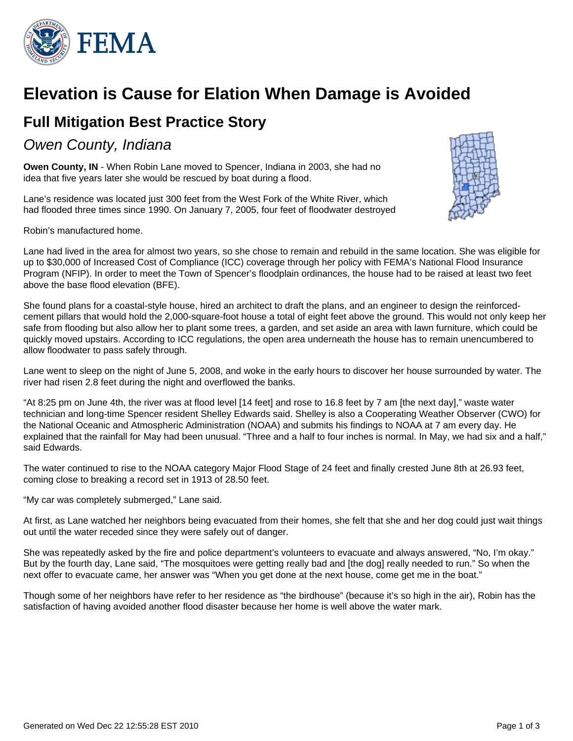

## **Elevation is Cause for Elation When Damage is Avoided**

## **Full Mitigation Best Practice Story**

### Owen County, Indiana

**Owen County, IN** - When Robin Lane moved to Spencer, Indiana in 2003, she had no idea that five years later she would be rescued by boat during a flood.

Lane's residence was located just 300 feet from the West Fork of the White River, which had flooded three times since 1990. On January 7, 2005, four feet of floodwater destroyed



Lane had lived in the area for almost two years, so she chose to remain and rebuild in the same location. She was eligible for up to \$30,000 of Increased Cost of Compliance (ICC) coverage through her policy with FEMA's National Flood Insurance Program (NFIP). In order to meet the Town of Spencer's floodplain ordinances, the house had to be raised at least two feet above the base flood elevation (BFE).

She found plans for a coastal-style house, hired an architect to draft the plans, and an engineer to design the reinforcedcement pillars that would hold the 2,000-square-foot house a total of eight feet above the ground. This would not only keep her safe from flooding but also allow her to plant some trees, a garden, and set aside an area with lawn furniture, which could be quickly moved upstairs. According to ICC regulations, the open area underneath the house has to remain unencumbered to allow floodwater to pass safely through.

Lane went to sleep on the night of June 5, 2008, and woke in the early hours to discover her house surrounded by water. The river had risen 2.8 feet during the night and overflowed the banks.

"At 8:25 pm on June 4th, the river was at flood level [14 feet] and rose to 16.8 feet by 7 am [the next day]," waste water technician and long-time Spencer resident Shelley Edwards said. Shelley is also a Cooperating Weather Observer (CWO) for the National Oceanic and Atmospheric Administration (NOAA) and submits his findings to NOAA at 7 am every day. He explained that the rainfall for May had been unusual. "Three and a half to four inches is normal. In May, we had six and a half," said Edwards.

The water continued to rise to the NOAA category Major Flood Stage of 24 feet and finally crested June 8th at 26.93 feet, coming close to breaking a record set in 1913 of 28.50 feet.

"My car was completely submerged," Lane said.

At first, as Lane watched her neighbors being evacuated from their homes, she felt that she and her dog could just wait things out until the water receded since they were safely out of danger.

She was repeatedly asked by the fire and police department's volunteers to evacuate and always answered, "No, I'm okay." But by the fourth day, Lane said, "The mosquitoes were getting really bad and [the dog] really needed to run." So when the next offer to evacuate came, her answer was "When you get done at the next house, come get me in the boat."

Though some of her neighbors have refer to her residence as "the birdhouse" (because it's so high in the air), Robin has the satisfaction of having avoided another flood disaster because her home is well above the water mark.

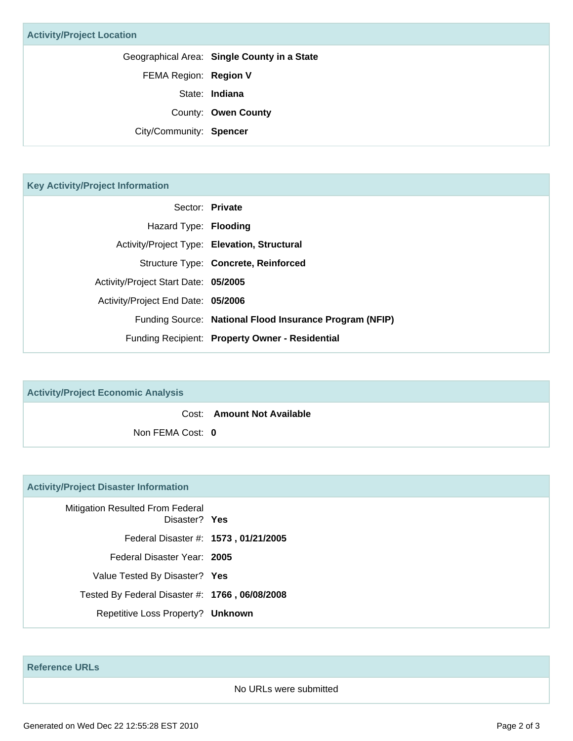Geographical Area: **Single County in a State**

FEMA Region: **Region V**

State: **Indiana**

County: **Owen County**

City/Community: **Spencer**

### **Key Activity/Project Information**

|                                      | Sector: Private                                         |
|--------------------------------------|---------------------------------------------------------|
| Hazard Type: Flooding                |                                                         |
|                                      | Activity/Project Type: Elevation, Structural            |
|                                      | Structure Type: Concrete, Reinforced                    |
| Activity/Project Start Date: 05/2005 |                                                         |
| Activity/Project End Date: 05/2006   |                                                         |
|                                      | Funding Source: National Flood Insurance Program (NFIP) |
|                                      | Funding Recipient: Property Owner - Residential         |

# **Activity/Project Economic Analysis** Cost: **Amount Not Available** Non FEMA Cost: **0**

### **Activity/Project Disaster Information**

| Mitigation Resulted From Federal<br>Disaster? Yes |  |
|---------------------------------------------------|--|
| Federal Disaster #: 1573, 01/21/2005              |  |
| Federal Disaster Year: 2005                       |  |
| Value Tested By Disaster? Yes                     |  |
| Tested By Federal Disaster #: 1766, 06/08/2008    |  |
| Repetitive Loss Property? Unknown                 |  |

**Reference URLs**

#### No URLs were submitted